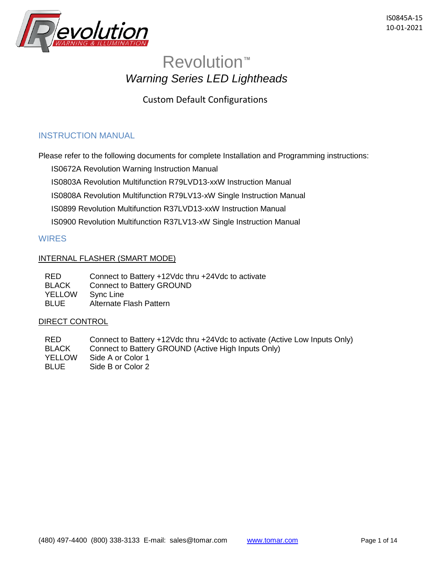

# Revolution**™** *Warning Series LED Lightheads*

Custom Default Configurations

# INSTRUCTION MANUAL

Please refer to the following documents for complete Installation and Programming instructions:

IS0672A Revolution Warning Instruction Manual

IS0803A Revolution Multifunction R79LVD13-xxW Instruction Manual

IS0808A Revolution Multifunction R79LV13-xW Single Instruction Manual

IS0899 Revolution Multifunction R37LVD13-xxW Instruction Manual

IS0900 Revolution Multifunction R37LV13-xW Single Instruction Manual

# **WIRES**

## INTERNAL FLASHER (SMART MODE)

| <b>RED</b>    | Connect to Battery +12Vdc thru +24Vdc to activate |
|---------------|---------------------------------------------------|
| <b>BLACK</b>  | <b>Connect to Battery GROUND</b>                  |
| <b>YELLOW</b> | Sync Line                                         |
| <b>BLUE</b>   | Alternate Flash Pattern                           |

#### DIRECT CONTROL

RED Connect to Battery +12Vdc thru +24Vdc to activate (Active Low Inputs Only) BLACK Connect to Battery GROUND (Active High Inputs Only) YELLOW Side A or Color 1 BLUE Side B or Color 2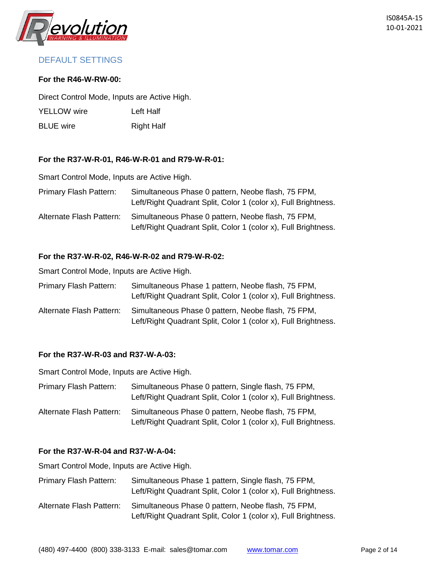

# DEFAULT SETTINGS

#### **For the R46-W-RW-00:**

Direct Control Mode, Inputs are Active High.

YELLOW wire Left Half

BLUE wire Right Half

## **For the R37-W-R-01, R46-W-R-01 and R79-W-R-01:**

Smart Control Mode, Inputs are Active High.

| Primary Flash Pattern:   | Simultaneous Phase 0 pattern, Neobe flash, 75 FPM,<br>Left/Right Quadrant Split, Color 1 (color x), Full Brightness. |
|--------------------------|----------------------------------------------------------------------------------------------------------------------|
| Alternate Flash Pattern: | Simultaneous Phase 0 pattern, Neobe flash, 75 FPM,<br>Left/Right Quadrant Split, Color 1 (color x), Full Brightness. |

## **For the R37-W-R-02, R46-W-R-02 and R79-W-R-02:**

Smart Control Mode, Inputs are Active High.

| Primary Flash Pattern:   | Simultaneous Phase 1 pattern, Neobe flash, 75 FPM,<br>Left/Right Quadrant Split, Color 1 (color x), Full Brightness. |
|--------------------------|----------------------------------------------------------------------------------------------------------------------|
| Alternate Flash Pattern: | Simultaneous Phase 0 pattern, Neobe flash, 75 FPM,<br>Left/Right Quadrant Split, Color 1 (color x), Full Brightness. |

#### **For the R37-W-R-03 and R37-W-A-03:**

Smart Control Mode, Inputs are Active High.

| Primary Flash Pattern:   | Simultaneous Phase 0 pattern, Single flash, 75 FPM,<br>Left/Right Quadrant Split, Color 1 (color x), Full Brightness. |
|--------------------------|-----------------------------------------------------------------------------------------------------------------------|
| Alternate Flash Pattern: | Simultaneous Phase 0 pattern, Neobe flash, 75 FPM,<br>Left/Right Quadrant Split, Color 1 (color x), Full Brightness.  |

## **For the R37-W-R-04 and R37-W-A-04:**

| Primary Flash Pattern:   | Simultaneous Phase 1 pattern, Single flash, 75 FPM,<br>Left/Right Quadrant Split, Color 1 (color x), Full Brightness. |
|--------------------------|-----------------------------------------------------------------------------------------------------------------------|
| Alternate Flash Pattern: | Simultaneous Phase 0 pattern, Neobe flash, 75 FPM,<br>Left/Right Quadrant Split, Color 1 (color x), Full Brightness.  |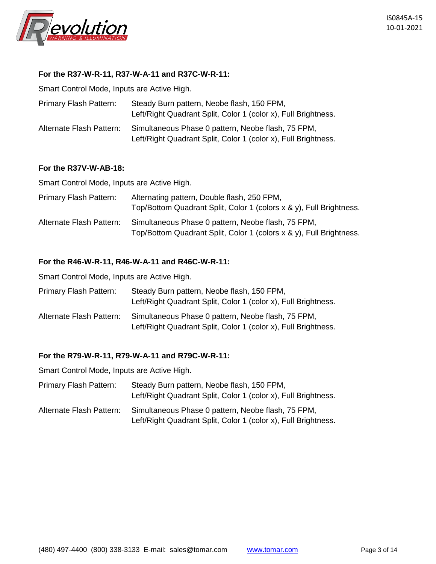

#### **For the R37-W-R-11, R37-W-A-11 and R37C-W-R-11:**

Smart Control Mode, Inputs are Active High.

| <b>Primary Flash Pattern:</b> | Steady Burn pattern, Neobe flash, 150 FPM,<br>Left/Right Quadrant Split, Color 1 (color x), Full Brightness.         |
|-------------------------------|----------------------------------------------------------------------------------------------------------------------|
| Alternate Flash Pattern:      | Simultaneous Phase 0 pattern, Neobe flash, 75 FPM,<br>Left/Right Quadrant Split, Color 1 (color x), Full Brightness. |

#### **For the R37V-W-AB-18:**

Smart Control Mode, Inputs are Active High.

| <b>Primary Flash Pattern:</b> | Alternating pattern, Double flash, 250 FPM,<br>Top/Bottom Quadrant Split, Color 1 (colors x & y), Full Brightness.        |
|-------------------------------|---------------------------------------------------------------------------------------------------------------------------|
| Alternate Flash Pattern:      | Simultaneous Phase 0 pattern, Neobe flash, 75 FPM,<br>Top/Bottom Quadrant Split, Color 1 (colors x & y), Full Brightness. |

#### **For the R46-W-R-11, R46-W-A-11 and R46C-W-R-11:**

Smart Control Mode, Inputs are Active High.

| Primary Flash Pattern:   | Steady Burn pattern, Neobe flash, 150 FPM,<br>Left/Right Quadrant Split, Color 1 (color x), Full Brightness.         |
|--------------------------|----------------------------------------------------------------------------------------------------------------------|
| Alternate Flash Pattern: | Simultaneous Phase 0 pattern, Neobe flash, 75 FPM,<br>Left/Right Quadrant Split, Color 1 (color x), Full Brightness. |

#### **For the R79-W-R-11, R79-W-A-11 and R79C-W-R-11:**

- Primary Flash Pattern: Steady Burn pattern, Neobe flash, 150 FPM, Left/Right Quadrant Split, Color 1 (color x), Full Brightness.
- Alternate Flash Pattern: Simultaneous Phase 0 pattern, Neobe flash, 75 FPM, Left/Right Quadrant Split, Color 1 (color x), Full Brightness.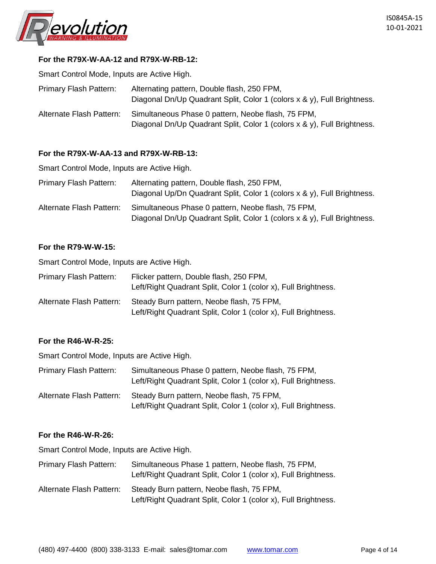

## **For the R79X-W-AA-12 and R79X-W-RB-12:**

Smart Control Mode, Inputs are Active High.

| <b>Primary Flash Pattern:</b> | Alternating pattern, Double flash, 250 FPM,<br>Diagonal Dn/Up Quadrant Split, Color 1 (colors x & y), Full Brightness.        |
|-------------------------------|-------------------------------------------------------------------------------------------------------------------------------|
| Alternate Flash Pattern:      | Simultaneous Phase 0 pattern, Neobe flash, 75 FPM,<br>Diagonal Dn/Up Quadrant Split, Color 1 (colors x & y), Full Brightness. |

#### **For the R79X-W-AA-13 and R79X-W-RB-13:**

Smart Control Mode, Inputs are Active High.

| Primary Flash Pattern:   | Alternating pattern, Double flash, 250 FPM,<br>Diagonal Up/Dn Quadrant Split, Color 1 (colors x & y), Full Brightness.        |
|--------------------------|-------------------------------------------------------------------------------------------------------------------------------|
| Alternate Flash Pattern: | Simultaneous Phase 0 pattern, Neobe flash, 75 FPM,<br>Diagonal Dn/Up Quadrant Split, Color 1 (colors x & y), Full Brightness. |

#### **For the R79-W-W-15:**

Smart Control Mode, Inputs are Active High.

| <b>Primary Flash Pattern:</b> | Flicker pattern, Double flash, 250 FPM,<br>Left/Right Quadrant Split, Color 1 (color x), Full Brightness.   |
|-------------------------------|-------------------------------------------------------------------------------------------------------------|
| Alternate Flash Pattern:      | Steady Burn pattern, Neobe flash, 75 FPM,<br>Left/Right Quadrant Split, Color 1 (color x), Full Brightness. |

#### **For the R46-W-R-25:**

Smart Control Mode, Inputs are Active High.

| Primary Flash Pattern:   | Simultaneous Phase 0 pattern, Neobe flash, 75 FPM,<br>Left/Right Quadrant Split, Color 1 (color x), Full Brightness. |
|--------------------------|----------------------------------------------------------------------------------------------------------------------|
| Alternate Flash Pattern: | Steady Burn pattern, Neobe flash, 75 FPM,<br>Left/Right Quadrant Split, Color 1 (color x), Full Brightness.          |

#### **For the R46-W-R-26:**

| Primary Flash Pattern:   | Simultaneous Phase 1 pattern, Neobe flash, 75 FPM,<br>Left/Right Quadrant Split, Color 1 (color x), Full Brightness. |
|--------------------------|----------------------------------------------------------------------------------------------------------------------|
| Alternate Flash Pattern: | Steady Burn pattern, Neobe flash, 75 FPM,<br>Left/Right Quadrant Split, Color 1 (color x), Full Brightness.          |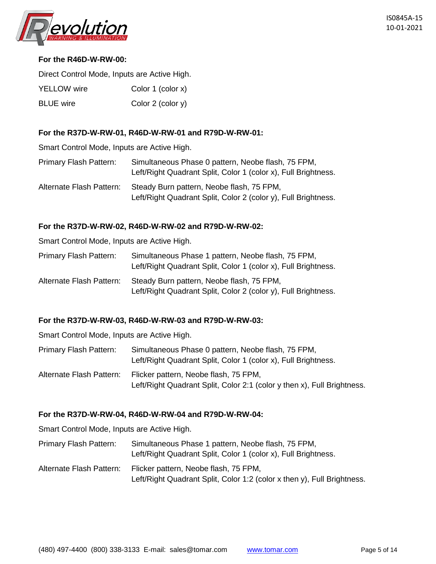

## **For the R46D-W-RW-00:**

Direct Control Mode, Inputs are Active High.

| <b>YELLOW</b> wire | Color 1 (color x) |
|--------------------|-------------------|
| <b>BLUE</b> wire   | Color 2 (color y) |

## **For the R37D-W-RW-01, R46D-W-RW-01 and R79D-W-RW-01:**

Smart Control Mode, Inputs are Active High.

| Primary Flash Pattern:   | Simultaneous Phase 0 pattern, Neobe flash, 75 FPM,<br>Left/Right Quadrant Split, Color 1 (color x), Full Brightness. |
|--------------------------|----------------------------------------------------------------------------------------------------------------------|
| Alternate Flash Pattern: | Steady Burn pattern, Neobe flash, 75 FPM,<br>Left/Right Quadrant Split, Color 2 (color y), Full Brightness.          |

#### **For the R37D-W-RW-02, R46D-W-RW-02 and R79D-W-RW-02:**

Smart Control Mode, Inputs are Active High.

| Primary Flash Pattern:   | Simultaneous Phase 1 pattern, Neobe flash, 75 FPM,<br>Left/Right Quadrant Split, Color 1 (color x), Full Brightness. |
|--------------------------|----------------------------------------------------------------------------------------------------------------------|
| Alternate Flash Pattern: | Steady Burn pattern, Neobe flash, 75 FPM,<br>Left/Right Quadrant Split, Color 2 (color y), Full Brightness.          |

#### **For the R37D-W-RW-03, R46D-W-RW-03 and R79D-W-RW-03:**

Smart Control Mode, Inputs are Active High.

- Primary Flash Pattern: Simultaneous Phase 0 pattern, Neobe flash, 75 FPM, Left/Right Quadrant Split, Color 1 (color x), Full Brightness.
- Alternate Flash Pattern: Flicker pattern, Neobe flash, 75 FPM, Left/Right Quadrant Split, Color 2:1 (color y then x), Full Brightness.

## **For the R37D-W-RW-04, R46D-W-RW-04 and R79D-W-RW-04:**

- Primary Flash Pattern: Simultaneous Phase 1 pattern, Neobe flash, 75 FPM, Left/Right Quadrant Split, Color 1 (color x), Full Brightness.
- Alternate Flash Pattern: Flicker pattern, Neobe flash, 75 FPM, Left/Right Quadrant Split, Color 1:2 (color x then y), Full Brightness.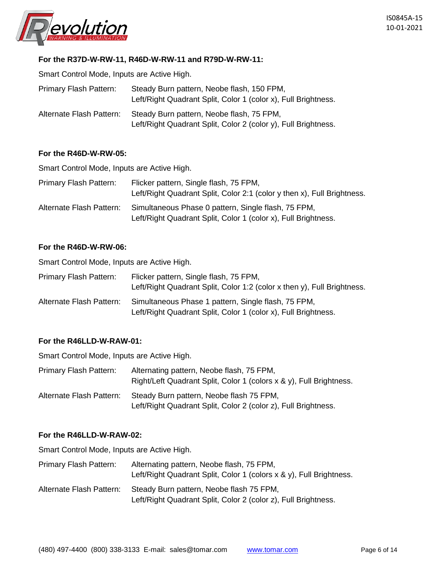

## **For the R37D-W-RW-11, R46D-W-RW-11 and R79D-W-RW-11:**

Smart Control Mode, Inputs are Active High.

| <b>Primary Flash Pattern:</b> | Steady Burn pattern, Neobe flash, 150 FPM,<br>Left/Right Quadrant Split, Color 1 (color x), Full Brightness. |
|-------------------------------|--------------------------------------------------------------------------------------------------------------|
| Alternate Flash Pattern:      | Steady Burn pattern, Neobe flash, 75 FPM,<br>Left/Right Quadrant Split, Color 2 (color y), Full Brightness.  |

#### **For the R46D-W-RW-05:**

Smart Control Mode, Inputs are Active High.

| <b>Primary Flash Pattern:</b> | Flicker pattern, Single flash, 75 FPM,<br>Left/Right Quadrant Split, Color 2:1 (color y then x), Full Brightness.     |
|-------------------------------|-----------------------------------------------------------------------------------------------------------------------|
| Alternate Flash Pattern:      | Simultaneous Phase 0 pattern, Single flash, 75 FPM,<br>Left/Right Quadrant Split, Color 1 (color x), Full Brightness. |

#### **For the R46D-W-RW-06:**

Smart Control Mode, Inputs are Active High.

| Primary Flash Pattern:   | Flicker pattern, Single flash, 75 FPM,<br>Left/Right Quadrant Split, Color 1:2 (color x then y), Full Brightness.     |
|--------------------------|-----------------------------------------------------------------------------------------------------------------------|
| Alternate Flash Pattern: | Simultaneous Phase 1 pattern, Single flash, 75 FPM,<br>Left/Right Quadrant Split, Color 1 (color x), Full Brightness. |

#### **For the R46LLD-W-RAW-01:**

Smart Control Mode, Inputs are Active High.

| Primary Flash Pattern:   | Alternating pattern, Neobe flash, 75 FPM,<br>Right/Left Quadrant Split, Color 1 (colors x & y), Full Brightness. |
|--------------------------|------------------------------------------------------------------------------------------------------------------|
| Alternate Flash Pattern: | Steady Burn pattern, Neobe flash 75 FPM,<br>Left/Right Quadrant Split, Color 2 (color z), Full Brightness.       |

#### **For the R46LLD-W-RAW-02:**

Smart Control Mode, Inputs are Active High.

Primary Flash Pattern: Alternating pattern, Neobe flash, 75 FPM, Left/Right Quadrant Split, Color 1 (colors x & y), Full Brightness. Alternate Flash Pattern: Steady Burn pattern, Neobe flash 75 FPM, Left/Right Quadrant Split, Color 2 (color z), Full Brightness.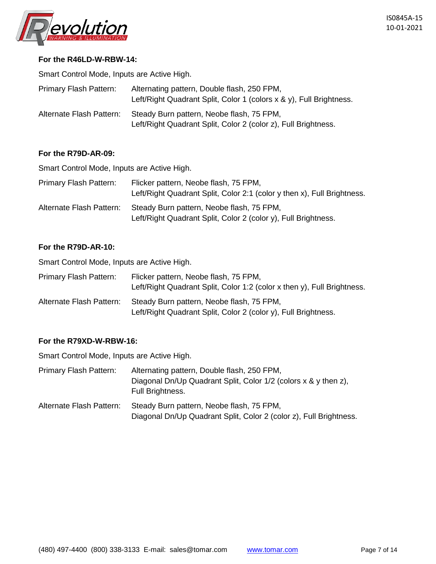

#### **For the R46LD-W-RBW-14:**

Smart Control Mode, Inputs are Active High.

| <b>Primary Flash Pattern:</b> | Alternating pattern, Double flash, 250 FPM,<br>Left/Right Quadrant Split, Color 1 (colors $x \& y$ ), Full Brightness. |
|-------------------------------|------------------------------------------------------------------------------------------------------------------------|
| Alternate Flash Pattern:      | Steady Burn pattern, Neobe flash, 75 FPM,<br>Left/Right Quadrant Split, Color 2 (color z), Full Brightness.            |

#### **For the R79D-AR-09:**

Smart Control Mode, Inputs are Active High.

| <b>Primary Flash Pattern:</b> | Flicker pattern, Neobe flash, 75 FPM,<br>Left/Right Quadrant Split, Color 2:1 (color y then x), Full Brightness. |
|-------------------------------|------------------------------------------------------------------------------------------------------------------|
| Alternate Flash Pattern:      | Steady Burn pattern, Neobe flash, 75 FPM,<br>Left/Right Quadrant Split, Color 2 (color y), Full Brightness.      |

#### **For the R79D-AR-10:**

Smart Control Mode, Inputs are Active High.

| Primary Flash Pattern:   | Flicker pattern, Neobe flash, 75 FPM,<br>Left/Right Quadrant Split, Color 1:2 (color x then y), Full Brightness. |
|--------------------------|------------------------------------------------------------------------------------------------------------------|
| Alternate Flash Pattern: | Steady Burn pattern, Neobe flash, 75 FPM,<br>Left/Right Quadrant Split, Color 2 (color y), Full Brightness.      |

#### **For the R79XD-W-RBW-16:**

| Primary Flash Pattern:   | Alternating pattern, Double flash, 250 FPM,                                                                     |
|--------------------------|-----------------------------------------------------------------------------------------------------------------|
|                          | Diagonal Dn/Up Quadrant Split, Color 1/2 (colors x & y then z),<br>Full Brightness.                             |
| Alternate Flash Pattern: | Steady Burn pattern, Neobe flash, 75 FPM,<br>Diagonal Dn/Up Quadrant Split, Color 2 (color z), Full Brightness. |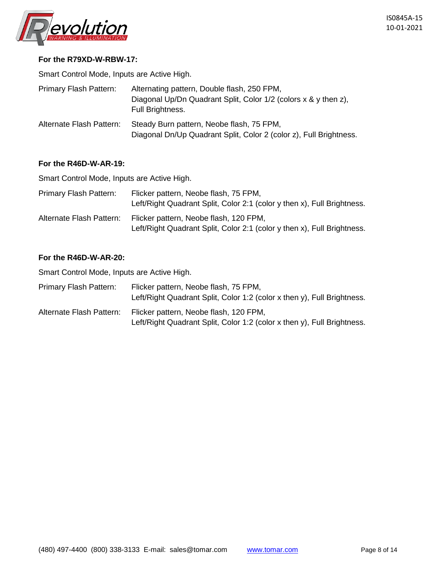

#### **For the R79XD-W-RBW-17:**

Smart Control Mode, Inputs are Active High.

| <b>Primary Flash Pattern:</b> | Alternating pattern, Double flash, 250 FPM,<br>Diagonal Up/Dn Quadrant Split, Color 1/2 (colors x & y then z),<br>Full Brightness. |
|-------------------------------|------------------------------------------------------------------------------------------------------------------------------------|
| Alternate Flash Pattern:      | Steady Burn pattern, Neobe flash, 75 FPM,<br>Diagonal Dn/Up Quadrant Split, Color 2 (color z), Full Brightness.                    |

#### **For the R46D-W-AR-19:**

Smart Control Mode, Inputs are Active High.

| <b>Primary Flash Pattern:</b> | Flicker pattern, Neobe flash, 75 FPM,<br>Left/Right Quadrant Split, Color 2:1 (color y then x), Full Brightness.  |
|-------------------------------|-------------------------------------------------------------------------------------------------------------------|
| Alternate Flash Pattern:      | Flicker pattern, Neobe flash, 120 FPM,<br>Left/Right Quadrant Split, Color 2:1 (color y then x), Full Brightness. |

## **For the R46D-W-AR-20:**

| <b>Primary Flash Pattern:</b> | Flicker pattern, Neobe flash, 75 FPM,<br>Left/Right Quadrant Split, Color 1:2 (color x then y), Full Brightness.  |
|-------------------------------|-------------------------------------------------------------------------------------------------------------------|
| Alternate Flash Pattern:      | Flicker pattern, Neobe flash, 120 FPM,<br>Left/Right Quadrant Split, Color 1:2 (color x then y), Full Brightness. |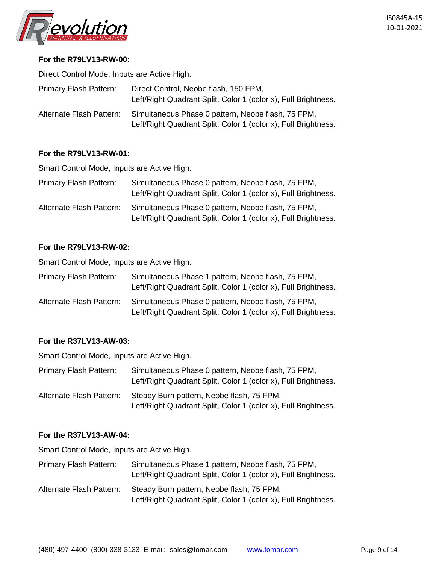

#### **For the R79LV13-RW-00:**

Direct Control Mode, Inputs are Active High.

| <b>Primary Flash Pattern:</b> | Direct Control, Neobe flash, 150 FPM,<br>Left/Right Quadrant Split, Color 1 (color x), Full Brightness.              |
|-------------------------------|----------------------------------------------------------------------------------------------------------------------|
| Alternate Flash Pattern:      | Simultaneous Phase 0 pattern, Neobe flash, 75 FPM,<br>Left/Right Quadrant Split, Color 1 (color x), Full Brightness. |

#### **For the R79LV13-RW-01:**

Smart Control Mode, Inputs are Active High.

| Primary Flash Pattern:   | Simultaneous Phase 0 pattern, Neobe flash, 75 FPM,<br>Left/Right Quadrant Split, Color 1 (color x), Full Brightness. |
|--------------------------|----------------------------------------------------------------------------------------------------------------------|
| Alternate Flash Pattern: | Simultaneous Phase 0 pattern, Neobe flash, 75 FPM,<br>Left/Right Quadrant Split, Color 1 (color x), Full Brightness. |

## **For the R79LV13-RW-02:**

Smart Control Mode, Inputs are Active High.

| Primary Flash Pattern:   | Simultaneous Phase 1 pattern, Neobe flash, 75 FPM,<br>Left/Right Quadrant Split, Color 1 (color x), Full Brightness. |
|--------------------------|----------------------------------------------------------------------------------------------------------------------|
| Alternate Flash Pattern: | Simultaneous Phase 0 pattern, Neobe flash, 75 FPM,<br>Left/Right Quadrant Split, Color 1 (color x), Full Brightness. |

## **For the R37LV13-AW-03:**

Smart Control Mode, Inputs are Active High.

| Primary Flash Pattern:   | Simultaneous Phase 0 pattern, Neobe flash, 75 FPM,<br>Left/Right Quadrant Split, Color 1 (color x), Full Brightness. |
|--------------------------|----------------------------------------------------------------------------------------------------------------------|
| Alternate Flash Pattern: | Steady Burn pattern, Neobe flash, 75 FPM,                                                                            |
|                          | Left/Right Quadrant Split, Color 1 (color x), Full Brightness.                                                       |

#### **For the R37LV13-AW-04:**

| Primary Flash Pattern:   | Simultaneous Phase 1 pattern, Neobe flash, 75 FPM,             |
|--------------------------|----------------------------------------------------------------|
|                          | Left/Right Quadrant Split, Color 1 (color x), Full Brightness. |
| Alternate Flash Pattern: | Steady Burn pattern, Neobe flash, 75 FPM,                      |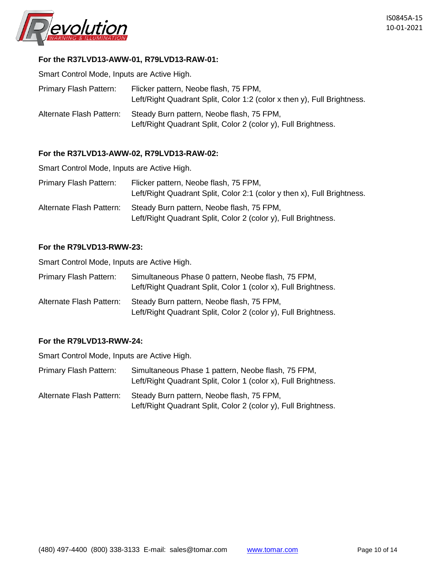

## **For the R37LVD13-AWW-01, R79LVD13-RAW-01:**

Smart Control Mode, Inputs are Active High.

| <b>Primary Flash Pattern:</b> | Flicker pattern, Neobe flash, 75 FPM,<br>Left/Right Quadrant Split, Color 1:2 (color x then y), Full Brightness. |
|-------------------------------|------------------------------------------------------------------------------------------------------------------|
| Alternate Flash Pattern:      | Steady Burn pattern, Neobe flash, 75 FPM,<br>Left/Right Quadrant Split, Color 2 (color y), Full Brightness.      |

#### **For the R37LVD13-AWW-02, R79LVD13-RAW-02:**

Smart Control Mode, Inputs are Active High.

| Primary Flash Pattern:   | Flicker pattern, Neobe flash, 75 FPM,<br>Left/Right Quadrant Split, Color 2:1 (color y then x), Full Brightness. |
|--------------------------|------------------------------------------------------------------------------------------------------------------|
| Alternate Flash Pattern: | Steady Burn pattern, Neobe flash, 75 FPM,<br>Left/Right Quadrant Split, Color 2 (color y), Full Brightness.      |

#### **For the R79LVD13-RWW-23:**

Smart Control Mode, Inputs are Active High.

| Primary Flash Pattern:   | Simultaneous Phase 0 pattern, Neobe flash, 75 FPM,<br>Left/Right Quadrant Split, Color 1 (color x), Full Brightness. |
|--------------------------|----------------------------------------------------------------------------------------------------------------------|
| Alternate Flash Pattern: | Steady Burn pattern, Neobe flash, 75 FPM,<br>Left/Right Quadrant Split, Color 2 (color y), Full Brightness.          |

#### **For the R79LVD13-RWW-24:**

- Primary Flash Pattern: Simultaneous Phase 1 pattern, Neobe flash, 75 FPM, Left/Right Quadrant Split, Color 1 (color x), Full Brightness.
- Alternate Flash Pattern: Steady Burn pattern, Neobe flash, 75 FPM, Left/Right Quadrant Split, Color 2 (color y), Full Brightness.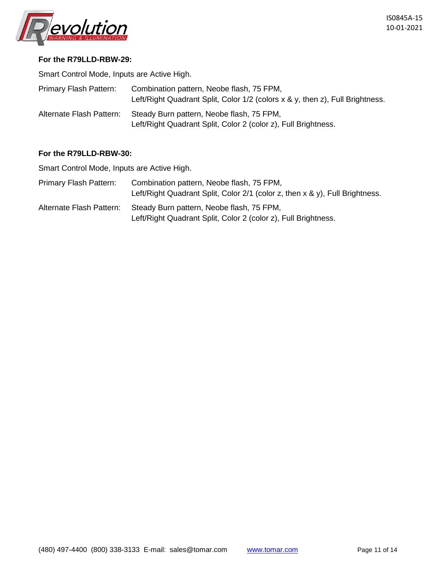

#### **For the R79LLD-RBW-29:**

Smart Control Mode, Inputs are Active High.

| <b>Primary Flash Pattern:</b> | Combination pattern, Neobe flash, 75 FPM,<br>Left/Right Quadrant Split, Color 1/2 (colors x & y, then z), Full Brightness. |
|-------------------------------|----------------------------------------------------------------------------------------------------------------------------|
| Alternate Flash Pattern:      | Steady Burn pattern, Neobe flash, 75 FPM,<br>Left/Right Quadrant Split, Color 2 (color z), Full Brightness.                |

#### **For the R79LLD-RBW-30:**

| Primary Flash Pattern:   | Combination pattern, Neobe flash, 75 FPM,<br>Left/Right Quadrant Split, Color $2/1$ (color z, then x & y), Full Brightness. |
|--------------------------|-----------------------------------------------------------------------------------------------------------------------------|
| Alternate Flash Pattern: | Steady Burn pattern, Neobe flash, 75 FPM,<br>Left/Right Quadrant Split, Color 2 (color z), Full Brightness.                 |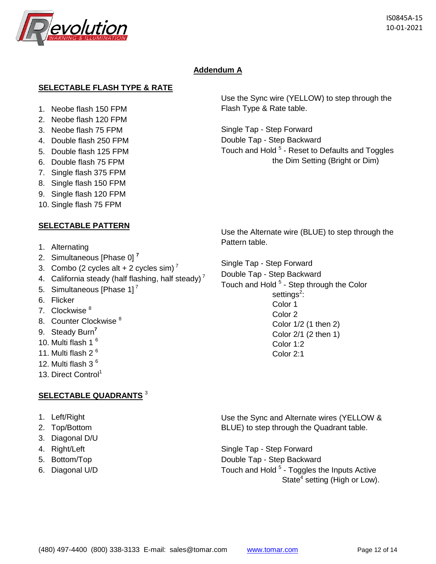

# **Addendum A**

## **SELECTABLE FLASH TYPE & RATE**

- 1. Neobe flash 150 FPM
- 2. Neobe flash 120 FPM
- 3. Neobe flash 75 FPM
- 4. Double flash 250 FPM
- 5. Double flash 125 FPM
- 6. Double flash 75 FPM
- 7. Single flash 375 FPM
- 8. Single flash 150 FPM
- 9. Single flash 120 FPM
- 10. Single flash 75 FPM

## **SELECTABLE PATTERN**

- 1. Alternating
- 2. Simultaneous [Phase 0] **<sup>7</sup>**
- 3. Combo (2 cycles alt  $+$  2 cycles sim)<sup>7</sup>
- 4. California steady (half flashing, half steady)<sup>7</sup>
- 5. Simultaneous [Phase  $11<sup>7</sup>$
- 6. Flicker
- 7. Clockwise 8
- 8. Counter Clockwise<sup>8</sup>
- 9. Steady Burn**<sup>7</sup>**
- 10. Multi flash 1<sup>6</sup>
- 11. Multi flash 2<sup>6</sup>
- 12. Multi flash 3 $<sup>6</sup>$ </sup>
- 13. Direct Control<sup>1</sup>

## **SELECTABLE QUADRANTS** <sup>3</sup>

- 1. Left/Right
- 2. Top/Bottom
- 3. Diagonal D/U
- 4. Right/Left
- 5. Bottom/Top
- 6. Diagonal U/D

Use the Sync wire (YELLOW) to step through the Flash Type & Rate table.

Single Tap - Step Forward Double Tap - Step Backward Touch and Hold <sup>5</sup> - Reset to Defaults and Toggles the Dim Setting (Bright or Dim)

Use the Alternate wire (BLUE) to step through the Pattern table.

Single Tap - Step Forward

Double Tap - Step Backward Touch and Hold <sup>5</sup> - Step through the Color settings<sup>2</sup>: Color 1 Color 2 Color 1/2 (1 then 2) Color 2/1 (2 then 1) Color 1:2 Color 2:1

Use the Sync and Alternate wires (YELLOW & BLUE) to step through the Quadrant table.

Single Tap - Step Forward Double Tap - Step Backward Touch and Hold <sup>5</sup> - Toggles the Inputs Active State<sup>4</sup> setting (High or Low).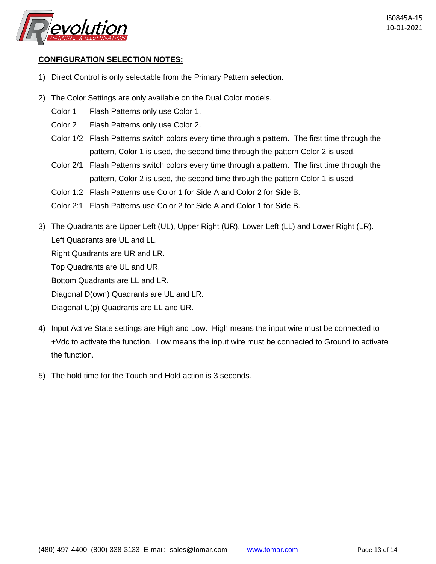

## **CONFIGURATION SELECTION NOTES:**

- 1) Direct Control is only selectable from the Primary Pattern selection.
- 2) The Color Settings are only available on the Dual Color models.
	- Color 1 Flash Patterns only use Color 1.
	- Color 2 Flash Patterns only use Color 2.
	- Color 1/2 Flash Patterns switch colors every time through a pattern. The first time through the pattern, Color 1 is used, the second time through the pattern Color 2 is used.
	- Color 2/1 Flash Patterns switch colors every time through a pattern. The first time through the pattern, Color 2 is used, the second time through the pattern Color 1 is used.
	- Color 1:2 Flash Patterns use Color 1 for Side A and Color 2 for Side B.
	- Color 2:1 Flash Patterns use Color 2 for Side A and Color 1 for Side B.
- 3) The Quadrants are Upper Left (UL), Upper Right (UR), Lower Left (LL) and Lower Right (LR). Left Quadrants are UL and LL. Right Quadrants are UR and LR. Top Quadrants are UL and UR. Bottom Quadrants are LL and LR. Diagonal D(own) Quadrants are UL and LR. Diagonal U(p) Quadrants are LL and UR.
- 4) Input Active State settings are High and Low. High means the input wire must be connected to +Vdc to activate the function. Low means the input wire must be connected to Ground to activate the function.
- 5) The hold time for the Touch and Hold action is 3 seconds.